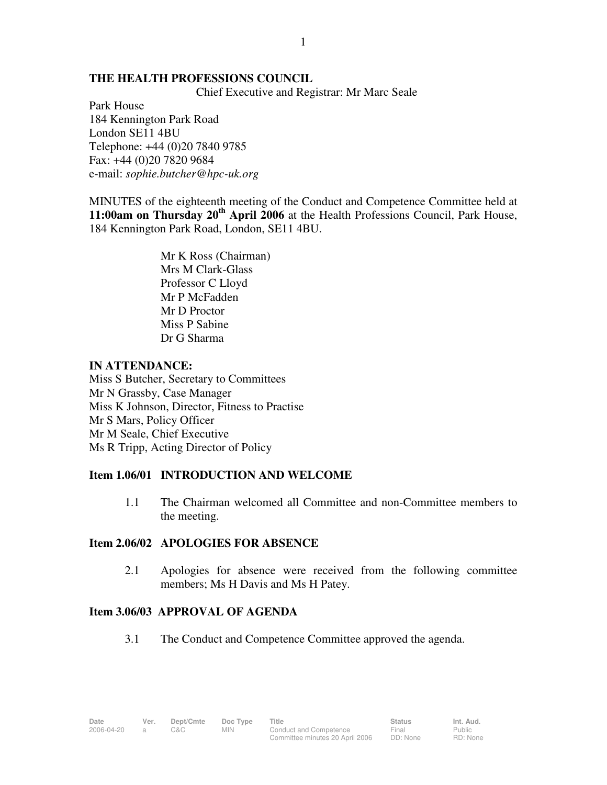#### **THE HEALTH PROFESSIONS COUNCIL**

Chief Executive and Registrar: Mr Marc Seale

1

Park House 184 Kennington Park Road London SE11 4BU Telephone: +44 (0)20 7840 9785 Fax: +44 (0)20 7820 9684 e-mail: *sophie.butcher@hpc-uk.org*

MINUTES of the eighteenth meeting of the Conduct and Competence Committee held at **11:00am on Thursday 20th April 2006** at the Health Professions Council, Park House, 184 Kennington Park Road, London, SE11 4BU.

> Mr K Ross (Chairman) Mrs M Clark-Glass Professor C Lloyd Mr P McFadden Mr D Proctor Miss P Sabine Dr G Sharma

## **IN ATTENDANCE:**

Miss S Butcher, Secretary to Committees Mr N Grassby, Case Manager Miss K Johnson, Director, Fitness to Practise Mr S Mars, Policy Officer Mr M Seale, Chief Executive Ms R Tripp, Acting Director of Policy

## **Item 1.06/01 INTRODUCTION AND WELCOME**

1.1 The Chairman welcomed all Committee and non-Committee members to the meeting.

## **Item 2.06/02 APOLOGIES FOR ABSENCE**

2.1 Apologies for absence were received from the following committee members; Ms H Davis and Ms H Patey.

# **Item 3.06/03 APPROVAL OF AGENDA**

3.1 The Conduct and Competence Committee approved the agenda.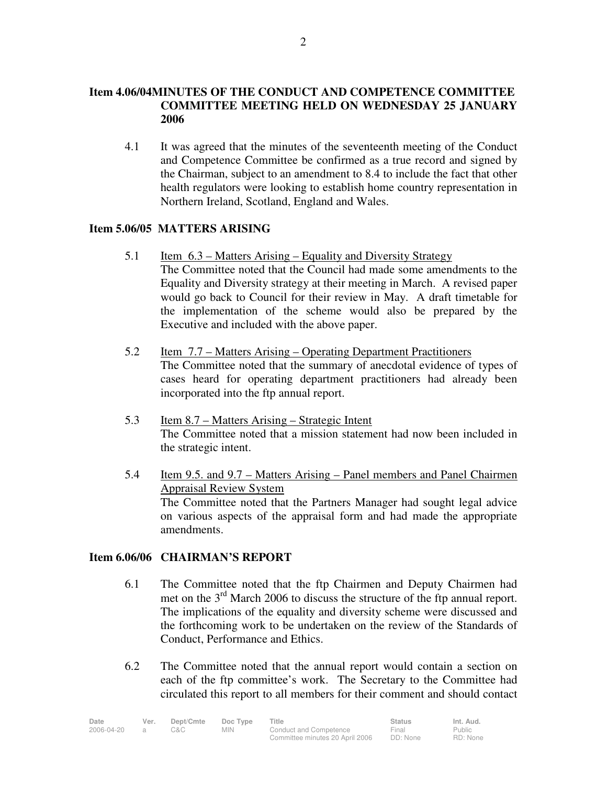# **Item 4.06/04MINUTES OF THE CONDUCT AND COMPETENCE COMMITTEE COMMITTEE MEETING HELD ON WEDNESDAY 25 JANUARY 2006**

4.1 It was agreed that the minutes of the seventeenth meeting of the Conduct and Competence Committee be confirmed as a true record and signed by the Chairman, subject to an amendment to 8.4 to include the fact that other health regulators were looking to establish home country representation in Northern Ireland, Scotland, England and Wales.

# **Item 5.06/05 MATTERS ARISING**

- 5.1 Item 6.3 Matters Arising Equality and Diversity Strategy The Committee noted that the Council had made some amendments to the Equality and Diversity strategy at their meeting in March. A revised paper would go back to Council for their review in May. A draft timetable for the implementation of the scheme would also be prepared by the Executive and included with the above paper.
- 5.2 Item 7.7 Matters Arising Operating Department Practitioners The Committee noted that the summary of anecdotal evidence of types of cases heard for operating department practitioners had already been incorporated into the ftp annual report.
- 5.3 Item 8.7 Matters Arising Strategic Intent The Committee noted that a mission statement had now been included in the strategic intent.
- 5.4 Item 9.5. and 9.7 Matters Arising Panel members and Panel Chairmen Appraisal Review System The Committee noted that the Partners Manager had sought legal advice on various aspects of the appraisal form and had made the appropriate amendments.

# **Item 6.06/06 CHAIRMAN'S REPORT**

- 6.1 The Committee noted that the ftp Chairmen and Deputy Chairmen had met on the  $3<sup>rd</sup>$  March 2006 to discuss the structure of the ftp annual report. The implications of the equality and diversity scheme were discussed and the forthcoming work to be undertaken on the review of the Standards of Conduct, Performance and Ethics.
- 6.2 The Committee noted that the annual report would contain a section on each of the ftp committee's work. The Secretary to the Committee had circulated this report to all members for their comment and should contact

| Date       | Ver. | Dept/Cmte | Doc Type | Title                           | <b>Status</b> | Int. Aud. |  |
|------------|------|-----------|----------|---------------------------------|---------------|-----------|--|
| 2006-04-20 |      | C&C-      | MIN.     | Conduct and Competence          | Final         | Public    |  |
|            |      |           |          | Committee minutes 20 April 2006 | DD: None      | RD: None  |  |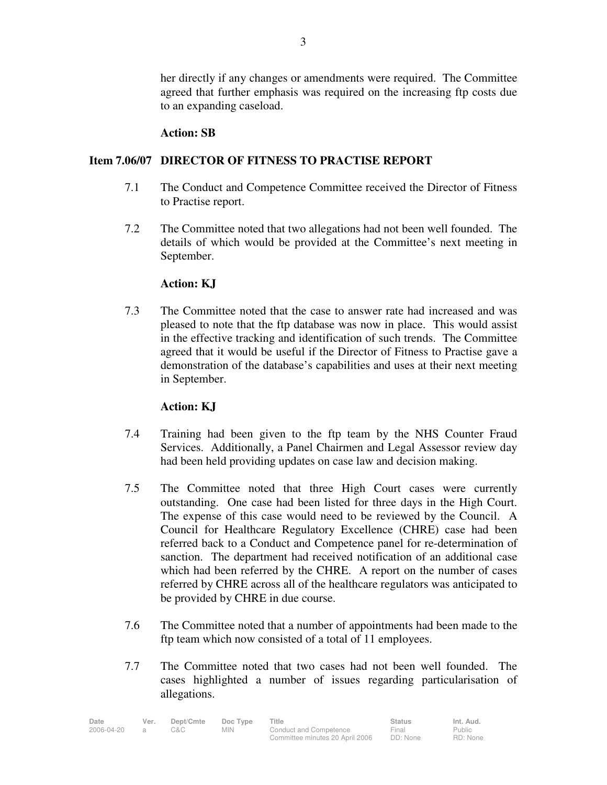her directly if any changes or amendments were required. The Committee agreed that further emphasis was required on the increasing ftp costs due to an expanding caseload.

#### **Action: SB**

## **Item 7.06/07 DIRECTOR OF FITNESS TO PRACTISE REPORT**

- 7.1 The Conduct and Competence Committee received the Director of Fitness to Practise report.
- 7.2 The Committee noted that two allegations had not been well founded. The details of which would be provided at the Committee's next meeting in September.

#### **Action: KJ**

7.3 The Committee noted that the case to answer rate had increased and was pleased to note that the ftp database was now in place. This would assist in the effective tracking and identification of such trends. The Committee agreed that it would be useful if the Director of Fitness to Practise gave a demonstration of the database's capabilities and uses at their next meeting in September.

# **Action: KJ**

- 7.4 Training had been given to the ftp team by the NHS Counter Fraud Services. Additionally, a Panel Chairmen and Legal Assessor review day had been held providing updates on case law and decision making.
- 7.5 The Committee noted that three High Court cases were currently outstanding. One case had been listed for three days in the High Court. The expense of this case would need to be reviewed by the Council. A Council for Healthcare Regulatory Excellence (CHRE) case had been referred back to a Conduct and Competence panel for re-determination of sanction. The department had received notification of an additional case which had been referred by the CHRE. A report on the number of cases referred by CHRE across all of the healthcare regulators was anticipated to be provided by CHRE in due course.
- 7.6 The Committee noted that a number of appointments had been made to the ftp team which now consisted of a total of 11 employees.
- 7.7 The Committee noted that two cases had not been well founded. The cases highlighted a number of issues regarding particularisation of allegations.

| Date       | Ver. | Dept/Cmte | Doc Type | Title                           | <b>Status</b> | Int. Aud. |
|------------|------|-----------|----------|---------------------------------|---------------|-----------|
| 2006-04-20 |      | C&C       | MIN.     | Conduct and Competence          | Final         | Public    |
|            |      |           |          | Committee minutes 20 April 2006 | DD: None      | RD: None  |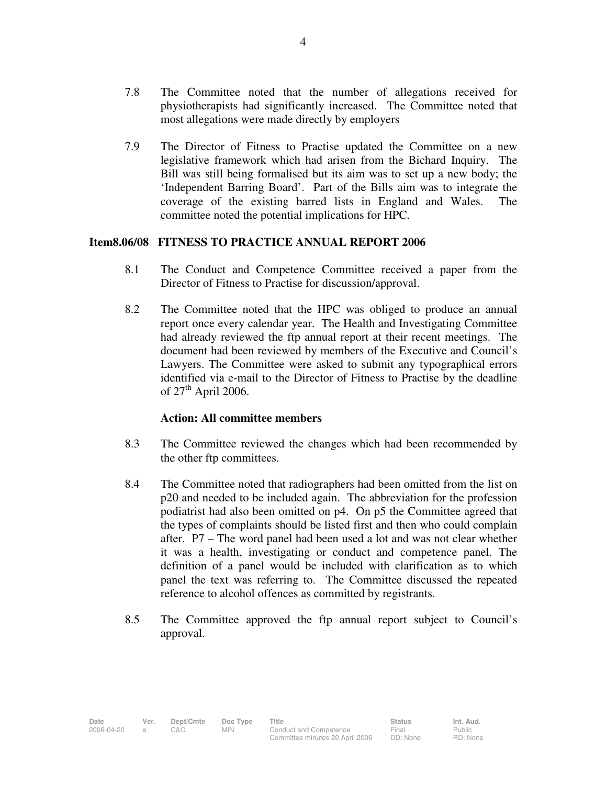- 7.8 The Committee noted that the number of allegations received for physiotherapists had significantly increased. The Committee noted that most allegations were made directly by employers
- 7.9 The Director of Fitness to Practise updated the Committee on a new legislative framework which had arisen from the Bichard Inquiry. The Bill was still being formalised but its aim was to set up a new body; the 'Independent Barring Board'. Part of the Bills aim was to integrate the coverage of the existing barred lists in England and Wales. The committee noted the potential implications for HPC.

## **Item8.06/08 FITNESS TO PRACTICE ANNUAL REPORT 2006**

- 8.1 The Conduct and Competence Committee received a paper from the Director of Fitness to Practise for discussion/approval.
- 8.2 The Committee noted that the HPC was obliged to produce an annual report once every calendar year. The Health and Investigating Committee had already reviewed the ftp annual report at their recent meetings. The document had been reviewed by members of the Executive and Council's Lawyers. The Committee were asked to submit any typographical errors identified via e-mail to the Director of Fitness to Practise by the deadline of  $27<sup>th</sup>$  April 2006.

#### **Action: All committee members**

- 8.3 The Committee reviewed the changes which had been recommended by the other ftp committees.
- 8.4 The Committee noted that radiographers had been omitted from the list on p20 and needed to be included again. The abbreviation for the profession podiatrist had also been omitted on p4. On p5 the Committee agreed that the types of complaints should be listed first and then who could complain after. P7 – The word panel had been used a lot and was not clear whether it was a health, investigating or conduct and competence panel. The definition of a panel would be included with clarification as to which panel the text was referring to. The Committee discussed the repeated reference to alcohol offences as committed by registrants.
- 8.5 The Committee approved the ftp annual report subject to Council's approval.

Public RD: None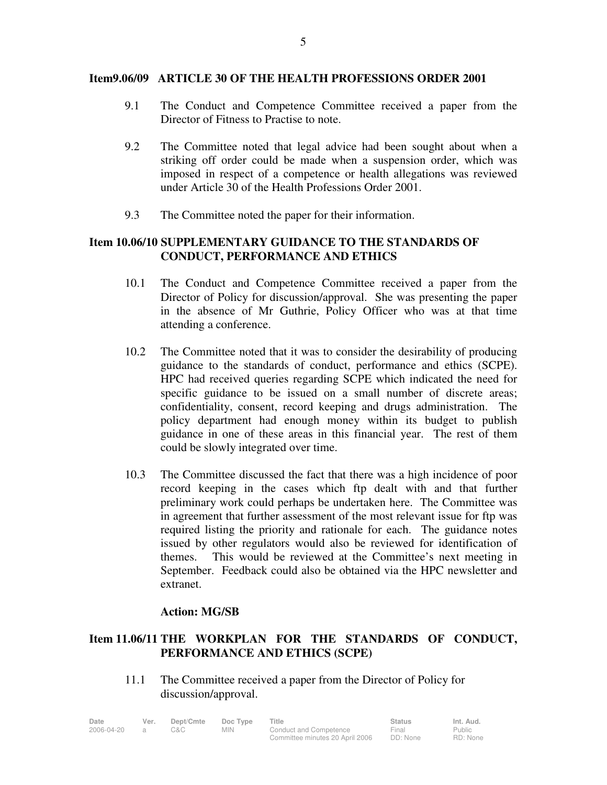#### **Item9.06/09 ARTICLE 30 OF THE HEALTH PROFESSIONS ORDER 2001**

- 9.1 The Conduct and Competence Committee received a paper from the Director of Fitness to Practise to note.
- 9.2 The Committee noted that legal advice had been sought about when a striking off order could be made when a suspension order, which was imposed in respect of a competence or health allegations was reviewed under Article 30 of the Health Professions Order 2001.
- 9.3 The Committee noted the paper for their information.

# **Item 10.06/10 SUPPLEMENTARY GUIDANCE TO THE STANDARDS OF CONDUCT, PERFORMANCE AND ETHICS**

- 10.1 The Conduct and Competence Committee received a paper from the Director of Policy for discussion/approval. She was presenting the paper in the absence of Mr Guthrie, Policy Officer who was at that time attending a conference.
- 10.2 The Committee noted that it was to consider the desirability of producing guidance to the standards of conduct, performance and ethics (SCPE). HPC had received queries regarding SCPE which indicated the need for specific guidance to be issued on a small number of discrete areas; confidentiality, consent, record keeping and drugs administration. The policy department had enough money within its budget to publish guidance in one of these areas in this financial year. The rest of them could be slowly integrated over time.
- 10.3 The Committee discussed the fact that there was a high incidence of poor record keeping in the cases which ftp dealt with and that further preliminary work could perhaps be undertaken here. The Committee was in agreement that further assessment of the most relevant issue for ftp was required listing the priority and rationale for each. The guidance notes issued by other regulators would also be reviewed for identification of themes. This would be reviewed at the Committee's next meeting in September. Feedback could also be obtained via the HPC newsletter and extranet.

## **Action: MG/SB**

# **Item 11.06/11 THE WORKPLAN FOR THE STANDARDS OF CONDUCT, PERFORMANCE AND ETHICS (SCPE)**

11.1 The Committee received a paper from the Director of Policy for discussion/approval.

| Date       | Ver. | Dept/Cmte | Doc Type | Title                           | <b>Status</b> | Int. Aud. |
|------------|------|-----------|----------|---------------------------------|---------------|-----------|
| 2006-04-20 |      | 3&C       | MIN.     | Conduct and Competence          | Final         | Public    |
|            |      |           |          | Committee minutes 20 April 2006 | DD: None      | RD: None  |